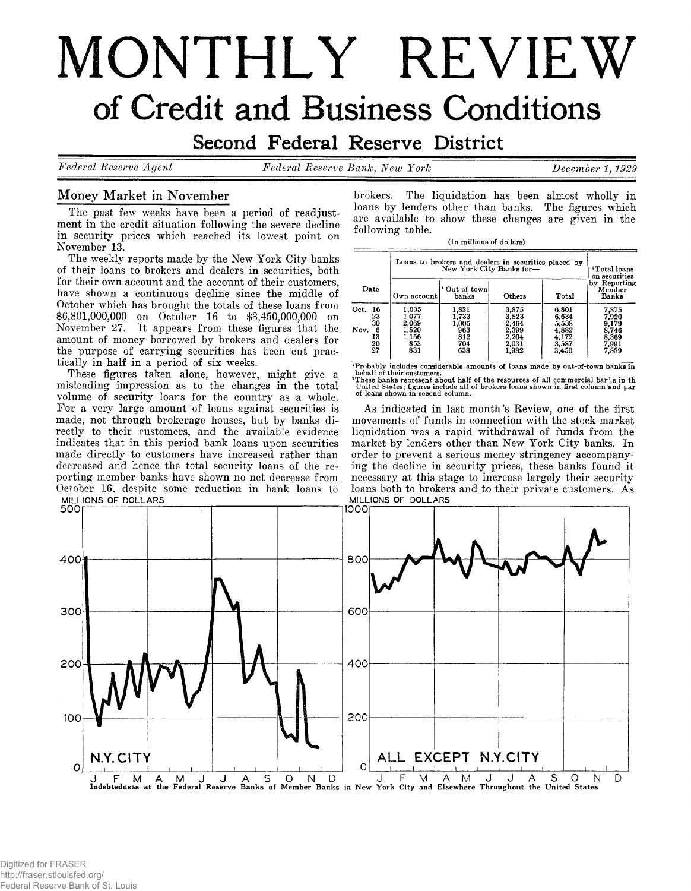# MONTHLY REVIEW of Credit and Business Conditions

# Second Federal Reserve District

*Federal Reserve Aqent Federal Reserve Bank***,** *New York December 1.1929*

# **Money Market in November**

**The past few weeks have been a period of readjustment in the credit situation following the severe decline in security prices which reached its lowest point on November 13.**

**The weekly reports made by the New York City banks of their loans to brokers and dealers in securities, both for their own account and the account of their customers, have shown a continuous decline since the middle of October which has brought the totals of these loans from \$6,801,000,000 on October 16 to \$3,450,000,000 on November 27. It appears from these figures that the amount of money borrowed by brokers and dealers for the purpose of carrying securities has been cut practically in half in a period of six weeks.**

**These figures taken alone, however, might give a misleading impression as to the changes in the total volume of security loans for the country as a whole. For a very large amount of loans against securities is made, not through brokerage houses, but by banks directly to their customers, and the available evidence indicates that in this period bank loans upon securities made directly to customers have increased rather than decreased and hence the total security loans of the reporting member banks have shown no net decrease from October 16, despite some reduction in bank loans to**

**brokers. The liquidation has been almost wholly in loans by lenders other than banks. The figures which are available to show these changes are given in the following table.**

**(In millions of dollars)**

|                             | Loans to brokers and dealers in securities placed by | <sup>2</sup> Total loans<br>on securities |                                  |                                  |                                  |
|-----------------------------|------------------------------------------------------|-------------------------------------------|----------------------------------|----------------------------------|----------------------------------|
| Date                        | Own account                                          | ' Out-of-townl<br>hanks                   | Others                           | Total                            | by Reporting<br>Member<br>Banks  |
| Oct.<br>-16<br>23<br>30     | 1,095<br>1,077<br>2.069                              | 1.831<br>1,733<br>1.005                   | 3.875<br>3.823<br>2.464          | 6,801<br>6.634<br>5,538          | 7,875<br>7.920<br>9.179          |
| Nov.<br>6<br>13<br>20<br>27 | 1,520<br>1,156<br>853<br>831                         | 963<br>812<br>704<br>638                  | 2,399<br>2.204<br>2,031<br>1,982 | 4,882<br>4,172<br>3,587<br>3,450 | 8.746<br>8.369<br>7,991<br>7,889 |

"Probably includes considerable amounts of loans made by out-of-town banks in<br>behalf of their customers,<br>"These banks represent about half of the resources of all commercial bar}'s in the<br>"United States; figures include a

**As indicated in last month's Review, one of the first movements of funds in connection with the stock market liquidation was a rapid withdrawal of funds from the market by lenders other than New York City banks. In order to prevent a serious money stringency accompanying the decline in security prices, these banks found it necessary at this stage to increase largely their security loans both to brokers and to their private customers. As**

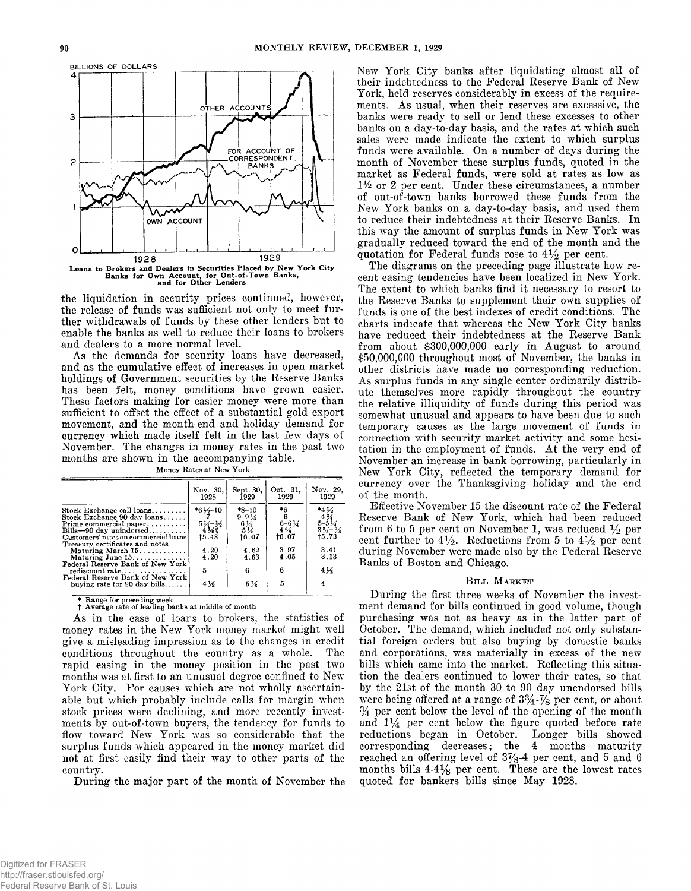

**the liquidation in security prices continued, however, the release of funds was sufficient not only to meet further withdrawals of funds by these other lenders but to enable the banks as well to reduce their loans to brokers and dealers to a more normal level.**

**As the demands for security loans have decreased, and as the cumulative effect of increases in open market holdings of Government securities by the Reserve Banks has been felt, money conditions have grown easier. These factors making for easier money were more than sufficient to offset the effect of a substantial gold export movement, and the month-end and holiday demand for currency which made itself felt in the last few days of November. The changes in money rates in the past two months are shown in the accompanying table.**

|                                                                             | Nov. 30,<br>1928             | Sept. 30.<br>1929             | Oct. 31.<br>1929               | Nov. 29.<br>1929                    |
|-----------------------------------------------------------------------------|------------------------------|-------------------------------|--------------------------------|-------------------------------------|
| Stock Exchange call $\alpha$ oans                                           | $*6\frac{1}{2} - 10$         | $*8-10$<br>$9 - 9\frac{1}{4}$ | *6                             | $*44$                               |
| Stock Exchange 90 day loans<br>Prime commercial paper                       | $5\frac{1}{4} - \frac{1}{2}$ | $^{6}_{5}\frac{1}{28}$        | $6 - 6\frac{1}{4}$             | $5 - 5\frac{1}{4}$                  |
| $Bills - 90$ day unindorsed<br>Customers' rates on commercial loans         | $4\frac{1}{8}$<br>$+5.48$    | †6.07                         | $4\frac{5}{6}$<br><b>t6.07</b> | $3\frac{3}{4}-\frac{1}{8}$<br>15.73 |
| Treasury certificates and notes<br>Maturing March $15$                      | 4.20                         | 4.62                          | 3.97                           | 3.41                                |
| Maturing June $15$<br>Federal Reserve Bank of New York                      | 4.20                         | 4.63                          | 4.05                           | 3.13                                |
|                                                                             | 5                            | 6                             | 6                              | 4½                                  |
| Federal Reserve Bank of New York!<br>buying rate for $90 \text{ day}$ bills | $4\frac{1}{2}$               | $5\frac{1}{6}$                | 5                              | 4                                   |
|                                                                             |                              |                               |                                |                                     |

**Money Rates at New York**

**\* Range for preceding week** t **Average rate of leading banks at middle of month**

**As in the case of loans to brokers, the statistics of money rates in the New York money market might well give a misleading impression as to the changes in credit conditions throughout the country as a whole. The rapid easing in the money position in the past two months was at first to an unusual degree confined to New** York City. For causes which are not wholly ascertain**able but which probably include calls for margin when stock prices were declining, and more recently investments by out-of-town buyers, the tendency for funds to flow toward New York was so considerable that the surplus funds which appeared in the money market did not at first easily find their way to other parts of the country.**

**During the major part of the month of November the**

**New York City banks after liquidating almost all of their indebtedness to the Federal Reserve Bank of New York, held reserves considerably in excess of the requirements. As usual, when their reserves are excessive, the banks were ready to sell or lend these excesses to other banks on a day-to-day basis, and the rates at which such sales were made indicate the extent to which surplus funds were available. On a number of days during the month of November these surplus funds, quoted in the market as Federal funds, were sold at rates as low as** *1 %* **or 2 per cent. Under these circumstances, a number of out-of-town banks borrowed these funds from the New York banks on a day-to-day basis, and used them to reduce their indebtedness at their Reserve Banks. In this way the amount of surplus funds in New York was gradually reduced toward the end of the month and the** quotation for Federal funds rose to  $4\frac{1}{2}$  per cent.

**The diagrams on the preceding page illustrate how recent easing tendencies have been localized in New York. The extent to which banks find it necessary to resort to the Reserve Banks to supplement their own supplies of funds is one of the best indexes of credit conditions. The charts indicate that whereas the New York City banks have reduced their indebtedness at the Reserve Bank from about \$300,000,000 early in August to around \$50,000,000 throughout most of November, the banks in other districts have made no corresponding reduction. As surplus funds in any single center ordinarily distribute themselves more rapidly throughout the country the relative illiquidity of funds during this period was somewhat unusual and appears to have been due to such temporary causes as the large movement of funds in connection with security market activity and some hesi**tation in the employment of funds. At the very end of **November an increase in bank borrowing, particularly in New York City, reflected the temporary demand for currency over the Thanksgiving holiday and the end of the month.**

**Effective November 15 the discount rate of the Federal Reserve Bank of New York, which had been reduced** from 6 to 5 per cent on November 1, was reduced  $\frac{1}{2}$  per cent further to  $4\frac{1}{2}$ . Reductions from 5 to  $4\frac{1}{2}$  per cent **during November were made also by the Federal Reserve Banks of Boston and Chicago.**

## **Bill Market**

**During the first three weeks of November the investment demand for bills continued in good volume, though purchasing was not as heavy as in the latter part of October. The demand, which included not only substantial foreign orders but also buying by domestic banks and corporations, was materially in excess of the new bills which came into the market. Reflecting this situation the dealers continued to lower their rates, so that by the 21st of the month 30 to 90 day unendorsed bills were being offered at a range of 3 % -% per cent, or about** *%* **per cent below the level of the opening of the month and** *iy 4* **per cent below the figure quoted before rate reductions began in October. Longer bills showed corresponding decreases; the 4 months maturity reached an offering level of 3% -4 per cent, and 5 and 6 months bills 4-4% per cent. These are the lowest rates quoted for bankers bills since May 1928.**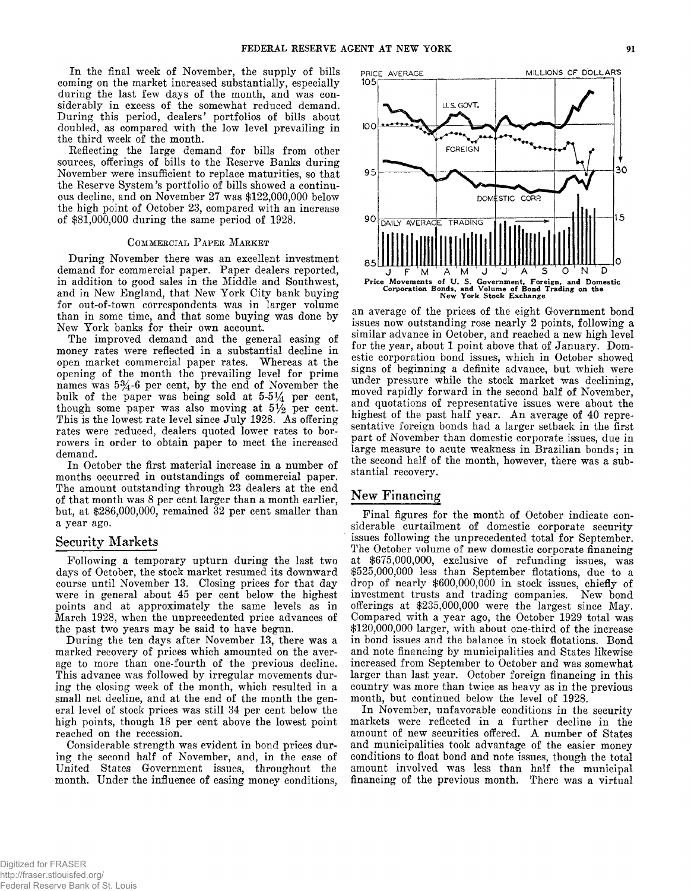**In the final week of November, the supply of bills coming on the market increased substantially, especially during the last few days of the month, and was considerably in excess of the somewhat reduced demand. During this period, dealers' portfolios of bills about doubled, as compared with the low level prevailing in the third week of the month.**

**Reflecting the large demand for bills from other sources, offerings of bills to the Reserve Banks during November were insufficient to replace maturities, so that the Reserve System's portfolio of bills showed a continuous decline, and on November 27 was \$122,000,000 below the high point of October 23, compared with an increase of \$81,000,000 during the same period of 1928.**

## COMMERCIAL PAPER MARKET

**During November there was an excellent investment demand for commercial paper. Paper dealers reported, in addition to good sales in the Middle and Southwest, and in New England, that New York City bank buying for out-of-town correspondents was in larger volume than in some time, and that some buying was done by New York banks for their own account.**

**The improved demand and the general easing of money rates were reflected in a substantial decline in open market commercial paper rates. Whereas at the opening of the month the prevailing level for prime** names was  $5\frac{3}{4}$ -6 per cent, by the end of November the bulk of the paper was being sold at  $5-5\frac{1}{4}$  per cent, though some paper was also moving at  $5\frac{1}{2}$  per cent. **This is the lowest rate level since July 1928. As offering rates were reduced, dealers quoted lower rates to borrowers in order to obtain paper to meet the increased demand.**

**In October the first material increase in a number of months occurred in outstandings of commercial paper. The amount outstanding through 23 dealers at the end of that month was 8 per cent larger than a month earlier, but, at \$286,000,000, remained 32 per cent smaller than a year ago.**

## **Security Markets**

**Following a temporary upturn during the last two days of October, the stock market resumed its downward course until November 13. Closing prices for that day were in general about 45 per cent below the highest points and at approximately the same levels as in March 1928, when the unprecedented price advances of the past two years may be said to have begun.**

**During the ten days after November 13, there was a marked recovery of prices which amounted on the average to more than one-fourth of the previous decline. This advance was followed by irregular movements during the closing week of the month, which resulted in a small net decline, and at the end of the month the general level of stock prices was still 34 per cent below the high points, though 18 per cent above the lowest point reached on the recession.**

**Considerable strength was evident in bond prices during the second half of November, and, in the case of United States Government issues, throughout the month. Under the influence of easing money conditions,**



**an average of the prices of the eight Government bond issues now outstanding rose nearly 2 points, following a similar advance in October, and reached a new high level for the year, about 1 point above that of January. Domestic corporation bond issues, which in October showed signs of beginning a definite advance, but which were under pressure while the stock market was declining, moved rapidly forward in the second half of November, and quotations of representative issues were about the** highest of the past half year. An average of 40 repre**sentative foreign bonds had a larger setback in the first part of November than domestic corporate issues, due in large measure to acute weakness in Brazilian bonds; in the second half of the month, however, there was a substantial recovery.**

# **New Financing**

**Final figures for the month of October indicate considerable curtailment of domestic corporate security issues following the unprecedented total for September. The October volume of new domestic corporate financing at \$675,000,000, exclusive of refunding issues, was \$525,000,000 less than September flotations, due to a drop of nearly \$600,000,000 in stock issues, chiefly of investment trusts and trading companies. New bond offerings at \$235,000,000 were the largest since May. Compared with a year ago, the October 1929 total was \$120,000,000 larger, with about one-third of the increase in bond issues and the balance in stock flotations. Bond and note financing by municipalities and States likewise increased from September to October and was somewhat larger than last year. October foreign financing in this country was more than twice as heavy as in the previous month, but continued below the level of 1928.**

**In November, unfavorable conditions in the security markets were reflected in a further decline in the amount of new securities offered. A number of States and municipalities took advantage of the easier money conditions to float bond and note issues, though the total amount involved was less than half the municipal financing of the previous month. There was a virtual**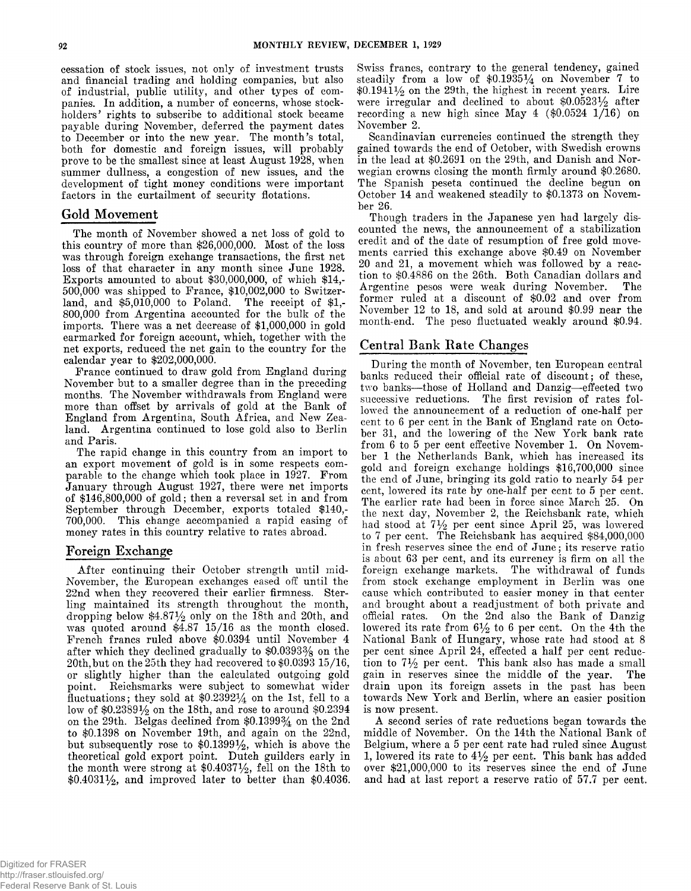**cessation of stock issues, not only of investment trusts and financial trading and holding companies, but also of industrial, public utility, and other types of companies. In addition, a number of concerns, whose stockholders** *9* **rights to subscribe to additional stock became payable during November, deferred the payment dates to December or into the new year. The month's total, both for domestic and foreign issues, will probably prove to be the smallest since at least August 1928, when summer dullness, a congestion of new issues, and the development of tight money conditions were important factors in the curtailment of security flotations.**

## Gold Movement

**The month of November showed a net loss of gold to this country of more than \$26,000,000. Most of the loss was through foreign exchange transactions, the first net loss of that character in any month since June 1928. Exports amounted to about \$30,000,000, of which \$14,- 500.000 was shipped to France, \$10,002,000 to Switzerland, and \$5,010,000 to Poland. The receipt of \$1,- 800.000 from Argentina accounted for the bulk of the imports. There was a net decrease of \$1,000,000 in gold earmarked for foreign account, which, together with the net exports, reduced the net gain to the country for the calendar year to \$202,000,000.**

**France continued to draw gold from England during November but to a smaller degree than in the preceding months. The November withdrawals from England were more than offset by arrivals of gold at the Bank of England from Argentina, South Africa, and New Zealand. Argentina continued to lose gold also to Berlin and Paris.**

**The rapid change in this country from an import to an export movement of gold is in some respects comparable to the change which took place in 1927. From January through August 1927, there were net imports of \$146,800,000 of gold; then a reversal set in and from September through December, exports totaled \$140,- 700,000. This change accompanied a rapid easing of money rates in this country relative to rates abroad.**

## **Foreign Exchange**

**After continuing their October strength until mid-November, the European exchanges eased off until the 22nd when they recovered their earlier firmness. Sterling maintained its strength throughout the month, dropping below \$4.87% only on the 18th and 20th, and was quoted around \$4.87 15/16 as the month closed. French francs ruled above \$0.0394 until November 4 after which they declined gradually to \$0.0393% on the 20th,but on the 25th they had recovered to \$0.0393 15/16, or slightly higher than the calculated outgoing gold point. Reichsmarks were subject to somewhat wider fluctuations; they sold at \$0.23921/4 on the 1st, fell to a low of \$0.2389% on the 18th, and rose to around \$0.2394 on the 29th. Belgas declined from \$0.1399% on the 2nd to \$0.1398 on November 19th, and again on the 22nd, but subsequently rose to \$0.1399%, which is above the theoretical gold export point. Dutch guilders early in the month were strong at \$0.4037%, fell on the 18th to \$0.4031%, and improved later to better than \$0.4036.**

**Swiss francs, contrary to the general tendency, gained steadily from a low of \$0.19351/4 on November 7 to \$0.1941% on the 29th, the highest in recent years. Lire were irregular and declined to about \$0.0523% after recording a new high since May 4 (\$0.0524 1/16) on November 2.**

**Scandinavian currencies continued the strength they gained towards the end of October, with Swedish crowns in the lead at \$0.2691 on the 29th, and Danish and Norwegian crowns closing the month firmly around \$0.2680. The Spanish peseta continued the decline begun on October 14 and weakened steadily to \$0.1373 on November 26.**

**Though traders in the Japanese yen had largely discounted the news, the announcement of a stabilization credit and of the date of resumption of free gold movements carried this exchange above \$0.49 on November 20 and 21, a movement which was followed by a reaction to \$0.4886 on the 26th. Both Canadian dollars and Argentine pesos were weak during November. The former ruled at a discount of \$0.02 and over from November 12 to 18, and sold at around \$0.99 near the month-end. The peso fluctuated weakly around \$0.94.**

# **Central Bank Rate Changes**

**During the month of November, ten European central banks reduced their official rate of discount; of these, two banks— those of Holland and Danzig— effected two successive reductions. The first revision of rates followed the announcement of a reduction of one-half per cent to 6 per cent in the Bank of England rate on October 31, and the lowering of the New York bank rate from 6 to 5 per cent effective November 1. On November 1 the Netherlands Bank, which has increased its gold and foreign exchange holdings \$16,700,000 since the end of June, bringing its gold ratio to nearly 54 per cent, lowered its rate by one-half per cent to 5 per cent. The earlier rate had been in force since March 25. On the next day, November 2, the Reichsbank rate, which** had stood at  $7\frac{1}{2}$  per cent since April 25, was lowered **to 7 per cent. The Reichsbank has acquired \$84,000,000 in fresh reserves since the end of June; its reserve ratio is about 63 per cent, and its currency is firm on all the foreign exchange markets. The withdrawal of funds from stock exchange employment in Berlin was one cause which contributed to easier money in that center and brought about a readjustment of both private and official rates. On the 2nd also the Bank of Danzig** lowered its rate from  $6\frac{1}{2}$  to 6 per cent. On the 4th the **National Bank of Hungary, whose rate had stood at 8 per cent since April 24, effected a half per cent reduc**tion to  $7\frac{1}{2}$  per cent. This bank also has made a small **gain in reserves since the middle of the year. The drain upon its foreign assets in the past has been towards New York and Berlin, where an easier position is now present.**

**A second series of rate reductions began towards the middle of November. On the 14th the National Bank of Belgium, where a 5 per cent rate had ruled since August** 1, lowered its rate to  $4\frac{1}{2}$  per cent. This bank has added **over \$21,000,000 to its reserves since the end of June and had at last report a reserve ratio of 57.7 per cent.**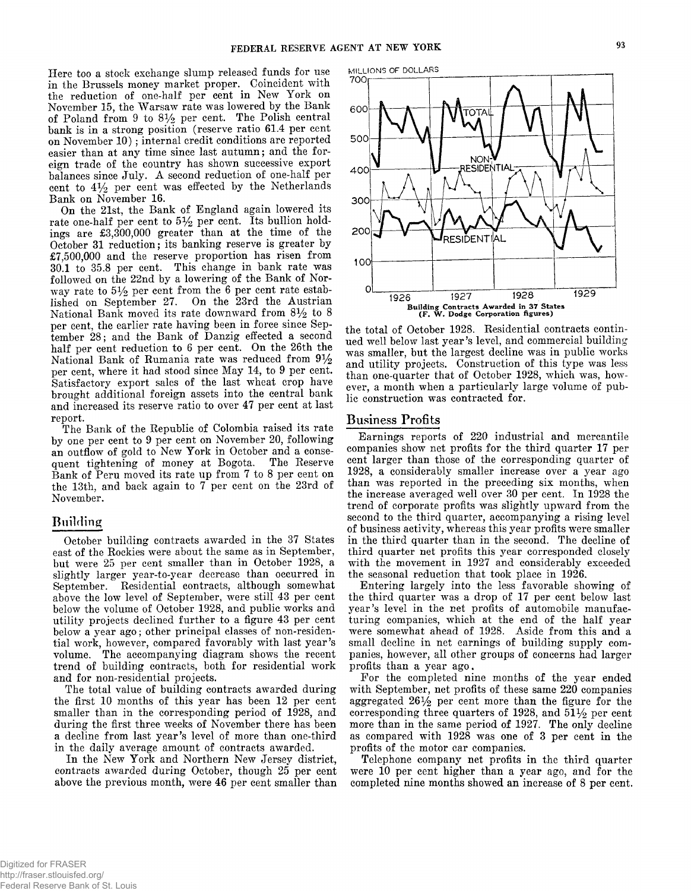**Here too a stock exchange slump released funds for use in the Brussels money market proper. Coincident with the reduction of one-half per cent in New York on November 15, the Warsaw rate was lowered by the Bank** of Poland from 9 to  $8\frac{1}{2}$  per cent. The Polish central **bank is in a strong position (reserve ratio 61.4 per cent** on November 10); internal credit conditions are reported **easier than at any time since last autumn; and the foreign trade of the country has shown successive export balances since July. A second reduction of one-half per** cent to  $4\frac{1}{2}$  per cent was effected by the Netherlands **Bank on November 16.**

**On the 21st, the Bank of England again lowered its** rate one-half per cent to  $5\frac{1}{2}$  per cent. Its bullion hold**ings are £3,300,000 greater than at the time of the October 31 reduction; its banking reserve is greater by £7,500,000 and the reserve proportion has risen from 30.1 to 35.8 per cent. This change in bank rate was followed on the 22nd by a lowering of the Bank of Nor**way rate to  $5\frac{1}{2}$  per cent from the 6 per cent rate estab**lished on September 27. On the 23rd the Austrian** National Bank moved its rate downward from  $8\frac{1}{2}$  to 8 **per cent, the earlier rate having been in force since September 28; and the Bank of Danzig effected a second half per cent reduction to 6 per cent. On the 26th the** National Bank of Rumania rate was reduced from  $9\frac{1}{2}$ **per cent, where it had stood since May 14, to 9 per cent. Satisfactory export sales of the last wheat crop have brought additional foreign assets into the central bank and increased its reserve ratio to over 47 per cent at last report.**

**The Bank of the Republic of Colombia raised its rate by one per cent to 9 per cent on November 20, following an outflow of gold to New York in October and a consequent tightening of money at Bogota. The Reserve Bank of Peru moved its rate up from 7 to 8 per cent on the 13th, and back again to 7 per cent on the 23rd of November.**

## **Building**

**October building contracts awarded in the 37 States east of the Rockies were about the same as in September, but were 25 per cent smaller than in October 1928, a slightly larger year-to-year decrease than occurred in September. Residential contracts, although somewhat above the low level of September, were still 43 per cent below the volume of October 1928, and public works and utility projects declined further to a figure 43 per cent below a year ago; other principal classes of non-residential work, however, compared favorably with last year's volume. The accompanying diagram shows the recent trend of building contracts, both for residential work and for non-residential projects.**

**The total value of building contracts awarded during the first 10 months of this year has been 12 per cent smaller than in the corresponding period of 1928, and during the first three weeks of November there has been a decline from last year's level of more than one-third in the daily average amount of contracts awarded.**

**In the New York and Northern New Jersey district, contracts awarded during October, though 25 per cent above the previous month, were 46 per cent smaller than**



**the total of October 1928. Residential contracts continued well below last year's level, and commercial building was smaller, but the largest decline was in public works and utility projects. Construction of this type was less than one-quarter that of October 1928, which was, however, a month when a particularly large volume of public construction was contracted for.**

## **Business Profits**

**Earnings reports of 220 industrial and mercantile companies show net profits for the third quarter 17 per cent larger than those of the corresponding quarter of 1928, a considerably smaller increase over a year ago than was reported in the preceding six months, when the increase averaged well over 30 per cent. In 1928 the trend of corporate profits was slightly upward from the second to the third quarter, accompanying a rising level of business activity, whereas this year profits were smaller in the third quarter than in the second. The decline of third quarter net profits this year corresponded closely with the movement in 1927 and considerably exceeded the seasonal reduction that took place in 1926.**

**Entering largely into the less favorable showing of the third quarter was a drop of 17 per cent below last year's level in the net profits of automobile manufacturing companies, which at the end of the half year were somewhat ahead of 1928. Aside from this and a small decline in net earnings of building supply companies, however, all other groups of concerns had larger profits than a year ago.**

**For the completed nine months of the year ended with September, net profits of these same 220 companies aggregated 26% per cent more than the figure for the corresponding three quarters of 1928, and 51% per cent more than in the same period of 1927. The only decline as compared with 1928 was one of 3 per cent in the profits of the motor car companies.**

**Telephone company net profits in the third quarter were 10 per cent higher than a year ago, and for the completed nine months showed an increase of 8 per cent.**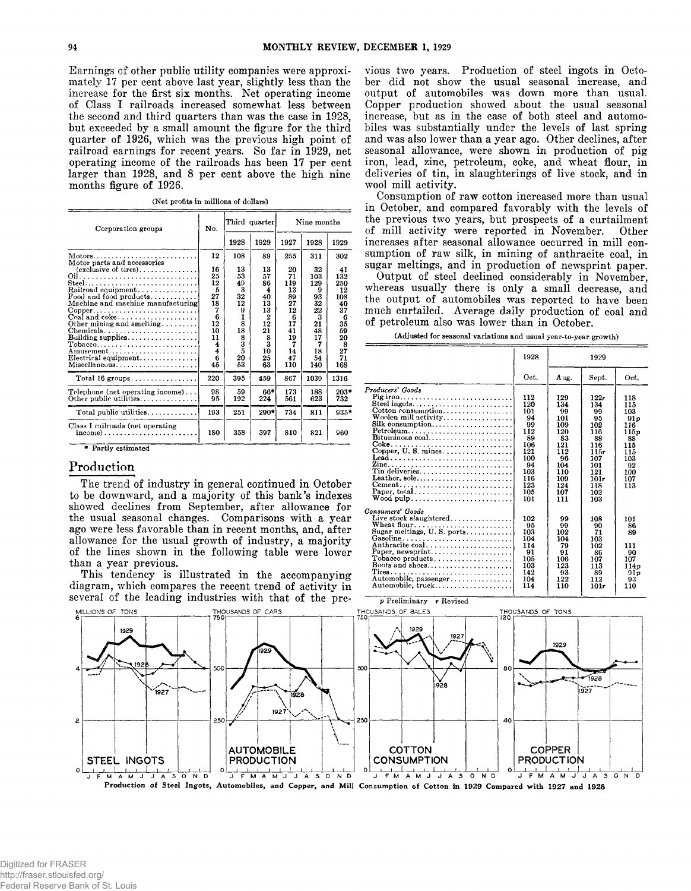**Earnings of other public utility companies were approximately 17 per cent above last year, slightly less than the increase for the first six months. Net operating income of Class I railroads increased somewhat less between the second and third quarters than was the case in 1928, but exceeded by a small amount the figure for the third quarter of 1926, which was the previous high point of railroad earnings for recent years. So far in 1929, net operating income of the railroads has been 17 per cent larger than 1928, and 8 per cent above the high nine months figure of 1926.**

**(Net profits in millions of dollars)**

| Corporation groups                    | No. | Third quarter |                | Nine months |      |        |
|---------------------------------------|-----|---------------|----------------|-------------|------|--------|
|                                       |     | 1928          | 1929           | 1927        | 1928 | 1929   |
| Motors<br>Motor parts and accessories | 12  | 108           | 89             | 255         | 311  | 302    |
| (exclusive of tires)                  | 16  | 13            | 13             | 20          | 32   | 41     |
|                                       | 25  | 53            | 57             | 71          | 103  | 132    |
| Steel                                 | 12  | 49            | 86             | 119         | 129  | 250    |
| Railroad equipment                    | 5   | 3             | 4              | 13          | 9    | 12     |
| Food and food products                | 27  | 32            | 40             | 89          | 93   | 108    |
| Machine and machine manufacturing     | 18  | 12            | 13             | 27          | 32   | 40     |
| $Copper.$                             | 7   | 9             | 13             | 12          | 22   | 37     |
| $Coal$ and $eoke$                     | 6   | 1             | $\overline{2}$ | 6           | 3    | 6      |
| Other mining and smelling             | 12  | 8             | 12             | 17          | 21   | 35     |
| Chemicals                             | 10  | 18            | 21             | 41          | 48   | 59     |
|                                       | 11  | 8             | 8              | 19          | 17   | 20     |
| Tobacco                               | 4   | 3             | 3              | 7           | 7    | 8      |
| Amusement                             | 4   | 5             | 10             | 14          | 18   | 27     |
| Eletrical equipment                   | 6   | 20            | 25             | 47          | 54   | 71     |
| Miscellaneous                         | 45  | 53            | 63             | 110         | 140  | 168    |
| Total $16$ groups                     | 220 | 395           | 459            | 867         | 1039 | 1316   |
| Telephone (net operating income)      | 98  | 59            | 66*            | 173         | 188  | $203*$ |
| Other public utilities                | 95  | 192           | 224            | 561         | 623  | 732    |
|                                       |     |               |                |             |      |        |
| Total public utilities                | 193 | 251           | 290*           | 734         | 811  | $935*$ |
| Class I railroads (net operating      | 180 | 358           | 397            | 810         | 821  | 960    |
|                                       |     |               |                |             |      |        |

**\* Partly estimated**

## **Production**

**The trend of industry in general continued in October to be downward, and a majority of this bank's indexes showed declines from September, after allowance for the usual seasonal changes. Comparisons with a year ago were less favorable than in recent months, and, after allowance for the usual growth of industry, a majority of the lines shown in the following table were lower than a year previous.**

**This tendency is illustrated in the accompanying diagram, which compares the recent trend of activity in several of the leading industries with that of the pre-** **vious two years. Production of steel ingots in October did not show the usual seasonal increase, and output of automobiles was down more than usual. Copper production showed about the usual seasonal increase, but as in the case of both steel and automobiles was substantially under the levels of last spring and was also lower than a year ago. Other declines, after seasonal allowance, were shown in production of pig iron, lead, zinc, petroleum, coke, and wheat flour, in deliveries of tin, in slaughterings of live stock, and in wool mill activity.**

**Consumption of raw cotton increased more than usual in October, and compared favorably with the levels of the previous two years, but prospects of a curtailment of mill activity were reported in November. Other increases after seasonal allowance occurred in mill consumption of raw silk, in mining of anthracite coal, in sugar meltings, and in production of newsprint paper.**

**Output of steel declined considerably in November, whereas usually there is only a small decrease, and the output of automobiles was reported to have been much curtailed. Average daily production of coal and of petroleum also was lower than in October.**

**(Adjusted for seasonal variations and usual year-to-year growth)**

|                                                                                                                                                                                                                                                                            | 1928                                                                                                     |                                                                                                           | 1929                                                                                                            |                                                                                                |
|----------------------------------------------------------------------------------------------------------------------------------------------------------------------------------------------------------------------------------------------------------------------------|----------------------------------------------------------------------------------------------------------|-----------------------------------------------------------------------------------------------------------|-----------------------------------------------------------------------------------------------------------------|------------------------------------------------------------------------------------------------|
|                                                                                                                                                                                                                                                                            | Oct.                                                                                                     | Aug.                                                                                                      | Sept.                                                                                                           | Oct.                                                                                           |
| Producers' Goods<br>Pig iron<br>Steel ingots<br>Cotton consumption<br>Woolen mill activity<br>Silk consumption<br>Bituminous coal<br>Lead<br>Tin deliveries<br>Leather, sole<br>Cement<br>Paper, total<br>$Wood \npublic \ldots \ldots \ldots \ldots \ldots \ldots \ldots$ | 112<br>120<br>101<br>94<br>99<br>112<br>89<br>106<br>121<br>100<br>94<br>103<br>116<br>123<br>105<br>101 | 129<br>134<br>99<br>101<br>109<br>120<br>83<br>121<br>112<br>96<br>104<br>110<br>109<br>124<br>107<br>111 | 122r<br>134<br>99<br>95<br>102<br>116<br>88<br>116<br>115r<br>107<br>101<br>121<br>$101 -$<br>118<br>102<br>103 | 118<br>115<br>103<br>91 v<br>116<br>115p<br>88<br>115<br>115<br>103<br>92<br>100<br>107<br>113 |
| Consumers' Goods<br>Live stock slaughtered<br>Wheat flour<br>Sugar meltings, $U.S.$ ports<br>Gasoline<br>Anthracite coal<br>$Tobacco products \ldots \ldots \ldots \ldots \ldots \ldots$<br>Boots and shoes<br>Automobile, passenger<br>Automobile, truck                  | 102<br>95<br>103<br>104<br>114<br>91<br>105<br>103<br>142<br>104<br>114                                  | 99<br>99<br>102<br>104<br>79<br>91<br>106<br>123<br>93<br>122<br>110                                      | 108<br>90<br>71<br>103<br>102<br>86<br>107<br>113<br>89<br>112<br>101r                                          | 101<br>86<br>89<br>111<br>90<br>107<br>114 <i>p</i><br>91p<br>93<br>110                        |

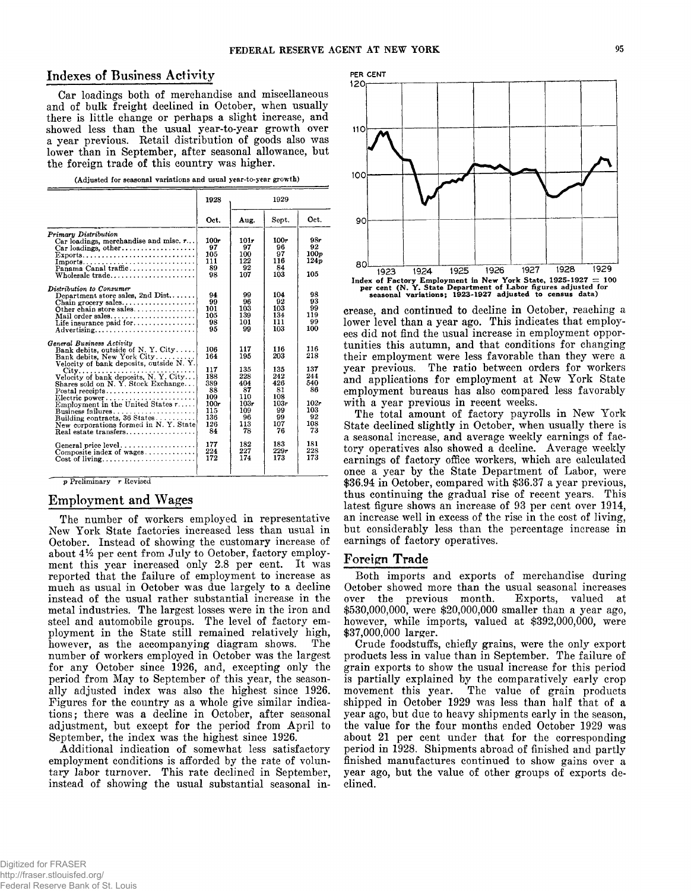# **Indexes of Business Activity** PER CENT

**Car loadings both of merchandise and miscellaneous and of bulk freight declined in October, when usually there is little change or perhaps a slight increase, and showed less than the usual year-to-year growth over a year previous. Retail distribution of goods also was lower than in September, after seasonal allowance, but the foreign trade of this country was higher.**

| (Adjusted for seasonal variations and usual year-to-year growth) |  |  |
|------------------------------------------------------------------|--|--|
|------------------------------------------------------------------|--|--|

|                                                                                                                                                                                                                                                                                                                                                                                                                                              | 1928                                                                                                 | 1929                                                                                                |                                                                                                     |                                                                                              |  |
|----------------------------------------------------------------------------------------------------------------------------------------------------------------------------------------------------------------------------------------------------------------------------------------------------------------------------------------------------------------------------------------------------------------------------------------------|------------------------------------------------------------------------------------------------------|-----------------------------------------------------------------------------------------------------|-----------------------------------------------------------------------------------------------------|----------------------------------------------------------------------------------------------|--|
|                                                                                                                                                                                                                                                                                                                                                                                                                                              | Oct.                                                                                                 | Aug.                                                                                                | Sept.                                                                                               | Oct.                                                                                         |  |
| <b>Primary Distribution</b><br>Car loadings, merchandise and misc. $r$<br>$Car$ loadings, other<br>$\text{Exports.} \dots \dots \dots \dots \dots \dots \dots \dots \dots$<br>$Imports$<br>Panama Canal traffic<br>Wholesale trade                                                                                                                                                                                                           | 100r<br>97<br>105<br>111<br>89<br>98                                                                 | 101r<br>97<br>100<br>122<br>92<br>107                                                               | 100r<br>96<br>97<br>116<br>84<br>103                                                                | 98r<br>92<br>100p<br>124p<br>105                                                             |  |
| Distribution to Consumer<br>Department store sales, 2nd $Dist$<br>Other chain store sales<br>$\textbf{Mail order sales} \dots \dots \dots \dots \dots \dots \dots \dots \dots$<br>Life insurance paid for<br>Advertising                                                                                                                                                                                                                     | 94<br>99<br>101<br>105<br>98<br>95                                                                   | 99<br>96<br>103<br>139<br>101<br>99                                                                 | 104<br>92<br>103<br>134<br>111<br>103                                                               | 98<br>93<br>99<br>119<br>99<br>100                                                           |  |
| General Business Activity<br>Bank debits, outside of N.Y. City<br>Bank debits. New York City<br>Velocity of bank deposits, outside N.Y.<br>Shares sold on N.Y. Stock Exchange<br>Postal receipts<br>Electric power<br>Employment in the United States $r \dots$ .<br>Business failures<br>Building contracts, 36 States<br>New corporations formed in N.Y. State<br>Real estate transfers<br>General price level<br>Composite index of wages | 106<br>164<br>117<br>188<br>389<br>88<br>109<br>100r<br>115<br>136<br>126<br>84<br>177<br>224<br>172 | 117<br>195<br>135<br>228<br>404<br>87<br>110<br>103r<br>109<br>96<br>113<br>78<br>182<br>227<br>174 | 116<br>203<br>135<br>242<br>426<br>81<br>108<br>103r<br>99<br>99<br>107<br>76<br>183<br>229r<br>173 | 116<br>218<br>137<br>244<br>540<br>86<br>102r<br>103<br>92<br>108<br>73<br>181<br>228<br>173 |  |

**p Preliminary r Revised**

# **Employment and Wages**

**The number of workers employed in representative New York State factories increased less than usual in October. Instead of showing the customary increase of about** *4 V2* **per cent from July to October, factory employment this year increased only 2.8 per cent. It was reported that the failure of employment to increase as much as usual in October was due largely to a decline instead of the usual rather substantial increase in the metal industries. The largest losses were in the iron and steel and automobile groups. The level of factory employment in the State still remained relatively high, however, as the accompanying diagram shows. The number of workers employed in October was the largest for any October since 1926, and, excepting only the period from May to September of this year, the seasonally adjusted index was also the highest since 1926. Figures for the country as a whole give similar indications; there was a decline in October, after seasonal adjustment, but except for the period from April to September, the index was the highest since 1926.**

**Additional indication of somewhat less satisfactory employment conditions is afforded by the rate of voluntary labor turnover. This rate declined in September, instead of showing the usual substantial seasonal in-**



**crease, and continued to decline in October, reaching a lower level than a year ago. This indicates that employees did not find the usual increase in employment opportunities this autumn, and that conditions for changing their employment were less favorable than they were a year previous. The ratio between orders for workers and applications for employment at New York State employment bureaus has also compared less favorably with a year previous in recent weeks.**

**The total amount of factory payrolls in New York State declined slightly in October, when usually there is a seasonal increase, and average weekly earnings of factory operatives also showed a decline. Average weekly earnings of factory office workers, which are calculated once a year by the State Department of Labor, were \$36.94 in October, compared with \$36.37 a year previous, thus continuing the gradual rise of recent years. This latest figure shows an increase of 93 per cent over 1914, an increase well in excess of the rise in the cost of living, but considerably less than the percentage increase in earnings of factory operatives.**

## Foreign Trade

**Both imports and exports of merchandise during October showed more than the usual seasonal increases over the previous month. Exports, valued at \$530,000,000, were \$20,000,000 smaller than a year ago, however, while imports, valued at \$392,000,000, were \$37,000,000 larger.**

**Crude foodstuffs, chiefly grains, were the only export products less in value than in September. The failure of grain exports to show the usual increase for this period is partially explained by the comparatively early crop movement this year. The value of grain products shipped in October 1929 was less than half that of a year ago, but due to heavy shipments early in the season, the value for the four months ended October 1929 was about 21 per cent under that for the corresponding period in 1928. Shipments abroad of finished and partly finished manufactures continued to show gains over a year ago, but the value of other groups of exports declined.**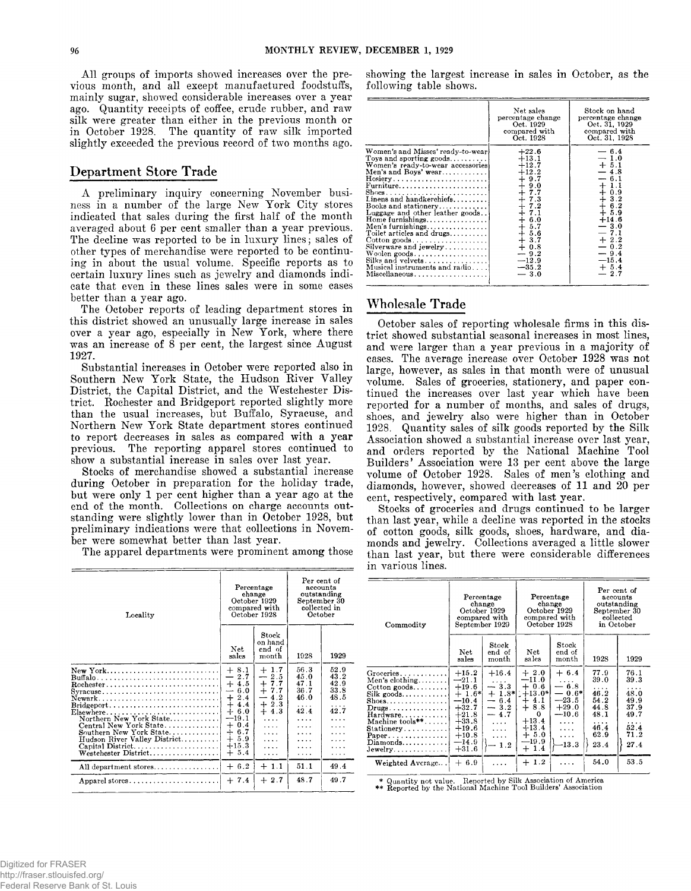**All groups of imports showed increases over the previous month, and all except manufactured foodstuffs, mainly sugar, showed considerable increases over a year ago. Quantity receipts of coffee, crude rubber, and raw silk were greater than either in the previous month or in October 1928. The quantity of raw silk imported slightly exceeded the previous record of two months ago.**

## **Department Store Trade**

**A preliminary inquiry concerning November business in a number of the large New York City stores indicated that sales during the first half of the month averaged about 6 per cent smaller than a year previous. The decline was reported to be in luxury lines; sales of other types of merchandise were reported to be continuing in about the usual volume. Specific reports as to certain luxury lines such as jewelry and diamonds indicate that even in these lines sales were in some cases better than a year ago.**

**The October reports of leading department stores in this district showed an unusually large increase in sales over a year ago, especially in New York, where there was an increase of 8 per cent, the largest since August 1927.**

**Substantial increases in October were reported also in Southern New York State, the Hudson River Valley District, the Capital District, and the Westchester District. Rochester and Bridgeport reported slightly more than the usual increases, but Buffalo, Syracuse, and Northern New York State department stores continued to report decreases in sales as compared with a year previous. The reporting apparel stores continued to show a substantial increase in sales over last year.**

**Stocks of merchandise showed a substantial increase during October in preparation for the holiday trade, but were only 1 per cent higher than a year ago at the end of the month. Collections on charge accounts outstanding were slightly lower than in October 1928, but preliminary indications were that collections in November were somewhat better than last year.**

**The apparel departments were prominent among those**

| Locality                                                                                                                                                                                                                                                    |                                                                                                                                                                                                                        | Percentage<br>change<br>October 1929<br>compared with<br>October 1928                                            | Per cent of<br>outstanding<br>collected in<br>October       | accounts<br>September 30                          |
|-------------------------------------------------------------------------------------------------------------------------------------------------------------------------------------------------------------------------------------------------------------|------------------------------------------------------------------------------------------------------------------------------------------------------------------------------------------------------------------------|------------------------------------------------------------------------------------------------------------------|-------------------------------------------------------------|---------------------------------------------------|
|                                                                                                                                                                                                                                                             | Net<br>sales                                                                                                                                                                                                           | Stock<br>on hand<br>end of<br>month                                                                              | 1928                                                        | 1929                                              |
| New York<br>Buffalo<br>Syracuse<br>$Elsewhere \ldots \ldots \ldots \ldots \ldots \ldots \ldots$<br>Northern New York State<br>Central New York State<br>Southern New York State<br>Hudson River Valley District<br>Capital District<br>Westchester District | $+8.1$<br>2.7<br>$\overline{\phantom{0}}$<br>$+4.5$<br>6.0<br>$\overline{\phantom{a}}$<br>2.4<br>$\div$<br>$^{+}$<br>4.4<br>$+$<br>6.0<br>$-19.1$<br>0.4<br>$^{+}$<br>$+6.7$<br>$+$<br>5.9<br>$+15.3$<br>5.4<br>$^{+}$ | $+1.7$<br>2.5<br>--<br>$+ 7.7$<br>4.2<br>$\overline{\phantom{a}}$<br>$+2.3$<br>$+4.3$<br>.<br>$\cdots$<br>.<br>. | 56.3<br>45.0<br>47.1<br>36.7<br>46.0<br>42.4<br>.<br>.<br>. | 52.9<br>43.2<br>42.9<br>33.8<br>48.5<br>42.7<br>. |
| All department stores                                                                                                                                                                                                                                       | $+6.2$                                                                                                                                                                                                                 | $+1.1$                                                                                                           | 51.1                                                        | 49.4                                              |
| Apparel stores                                                                                                                                                                                                                                              | $+7.4$                                                                                                                                                                                                                 | $+2.7$                                                                                                           | 48.7                                                        | 49.7                                              |

**showing the largest increase in sales in October, as the following table shows.**

|                                                                                                                                                                                                                                                                                                                                                                                                                                          | Net sales<br>percentage change<br>Oct. 1929<br>compared with<br>Oct. 1928                                                                                                                                       | Stock on hand<br>percentage change<br>Oct. 31, 1929<br>compared with<br>Oct. 31, 1928                                                                                                                        |
|------------------------------------------------------------------------------------------------------------------------------------------------------------------------------------------------------------------------------------------------------------------------------------------------------------------------------------------------------------------------------------------------------------------------------------------|-----------------------------------------------------------------------------------------------------------------------------------------------------------------------------------------------------------------|--------------------------------------------------------------------------------------------------------------------------------------------------------------------------------------------------------------|
| Women's and Misses' ready-to-wear<br>Toys and sporting goods<br>Women's ready-to-wear accessories<br>Men's and Boys' wear<br>Furniture<br>Linens and handkerchiefs<br>Books and stationery<br>Luggage and other leather goods<br>Home furnishings<br>Men's furnishings<br>Toilet articles and drugs<br>$Cotten$ goods<br>Silverware and $jewelry$<br>Woolen goods<br>Silks and velvets<br>Musical instruments and radio<br>Miscellaneous | $+22.6$<br>$+13.1$<br>$+12.7$<br>$+12.2$<br>$\frac{1}{4}$ $\frac{9.7}{9.0}$<br>$+7.7$<br>$+7.3$<br>$+7.2$<br>+7.1<br>$+6.0$<br>$+ 5.7$<br>$+ 5.6$<br>$+3.7$<br>$+0.8$<br>$-9.2$<br>$-12.9$<br>$-35.2$<br>$-3.0$ | $-6.4$<br>$-1.0$<br>$+ 5.1$<br>$-4.8$<br>$-6.1$<br>$+1.1$<br>$+0.9$<br>$\frac{1}{4}$ $\frac{3.2}{6.2}$<br>$+5.9$<br>$+14.6$<br>$-3.0$<br>$-7.1$<br>$+2.2$<br>$-0.2$<br>$-9.4$<br>$-15.4$<br>$+5.4$<br>$-2.7$ |

# **Wholesale Trade**

**October sales of reporting wholesale firms in this district showed substantial seasonal increases in most lines, and were larger than a year previous in a majority of cases. The average increase over October 1928 was not large, however, as sales in that month were of unusual volume. Sales of groceries, stationery, and paper continued the increases over last year which have been reported for a number of months, and sales of drugs, shoes, and jewelry also were higher than in October 1928. Quantity sales of silk goods reported by the Silk Association showed a substantial increase over last year, and orders reported by the National Machine Tool Builders' Association were 13 per cent above the large volume of October 1928. Sales of men's clothing and diamonds, however, showed decreases of 11 and 20 per cent, respectively, compared with last year.**

**Stocks of groceries and drugs continued to be larger than last year, while a decline was reported in the stocks of cotton goods, silk goods, shoes, hardware, and diamonds and jewelry. Collections averaged a little slower than last year, but there were considerable differences in various lines.**

| Net                                                                                                                              | Stock<br>end of                                                                       |                                                                                                           | Stock                                                                                         |                                                                                |                                                                                   |
|----------------------------------------------------------------------------------------------------------------------------------|---------------------------------------------------------------------------------------|-----------------------------------------------------------------------------------------------------------|-----------------------------------------------------------------------------------------------|--------------------------------------------------------------------------------|-----------------------------------------------------------------------------------|
|                                                                                                                                  | month                                                                                 | Net<br>sales                                                                                              | end of<br>month                                                                               | 1928                                                                           | 1929                                                                              |
| $+15.2$<br>$-21.1$<br>$+19.6$<br>$+1.6*$<br>$-10.4$<br>$+32.7$<br>$+21.8$<br>$+33.8$<br>$+19.6$<br>$+10.8$<br>$-14.9$<br>$+31.6$ | $+16.4$<br>$-3.3$<br>6.4<br>-<br>$-3.2$<br>$-4.7$<br>$\cdots$<br>$\cdots$<br>.<br>1.2 | $+2.0$<br>$-11.0$<br>$+0.6$<br>$+4.1$<br>$+8.8$<br>0<br>$+13.4$<br>$+13.4$<br>$+5.0$<br>$-19.9$<br>$+1.4$ | $+6.4$<br>.<br>$-6.8$<br>$-23.5$<br>$+29.0$<br>--10.6<br>.<br>$\cdots$<br>$\cdots$<br>$-13.3$ | 77.9<br>39.0<br>.<br>46.2<br>54.2<br>44.8<br>48.1<br>.<br>46.4<br>62.9<br>23.4 | 76.1<br>39.3<br>.<br>48.0<br>49.9<br>37.9<br>49.7<br>52.4<br>71.2<br>27.4<br>53.5 |
|                                                                                                                                  | sales<br>$+6.9$                                                                       |                                                                                                           | $+1.2$                                                                                        | $+ 1.8$ * $+ 13.0$ * $- 13.0$                                                  | $-0.6*$<br>54.0                                                                   |

\* Quantity not value. Reported by Silk Association of America \*\* Reported by the National Machine Tool Builders' Association